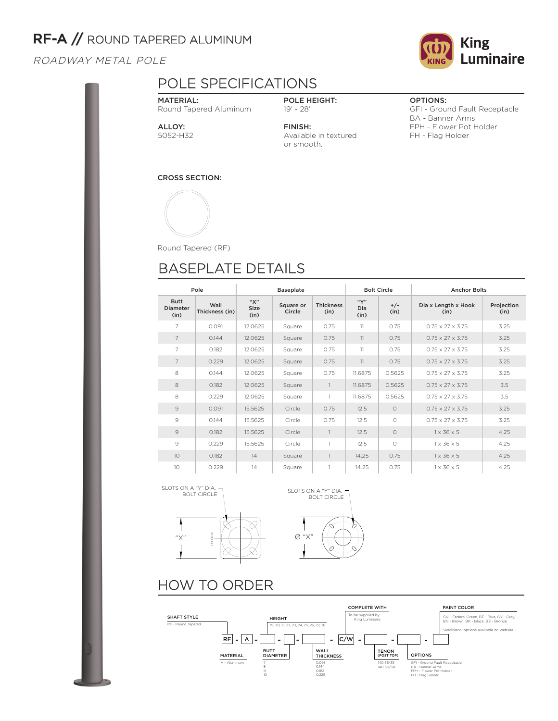# RF-A // ROUND TAPERED ALUMINUM

### ROADWAY METAL POLE

### POLE SPECIFICATIONS

MATERIAL: Round Tapered Aluminum

### POLE HEIGHT: 19' - 28'

ALLOY: 5052-H32 FINISH: Available in textured or smooth.

OPTIONS:

GFI - Ground Fault Receptacle BA - Banner Arms FPH - Flower Pot Holder FH - Flag Holder

CROSS SECTION:



Round Tapered (RF)

# BASEPLATE DETAILS

| Pole                                   |                        |                     | <b>Baseplate</b>    |                          |                     | <b>Bolt Circle</b> | <b>Anchor Bolts</b>          |                    |  |
|----------------------------------------|------------------------|---------------------|---------------------|--------------------------|---------------------|--------------------|------------------------------|--------------------|--|
| <b>Butt</b><br><b>Diameter</b><br>(in) | Wall<br>Thickness (in) | "Х"<br>Size<br>(in) | Square or<br>Circle | <b>Thickness</b><br>(in) | ``Y"<br>Dia<br>(in) | $+/-$<br>(in)      | Dia x Length x Hook<br>(in)  | Projection<br>(in) |  |
| $\overline{7}$                         | 0.091                  | 12.0625             | Square              | 0.75                     | 11                  | 0.75               | $0.75 \times 27 \times 3.75$ | 3.25               |  |
| $\overline{7}$                         | 0.144                  | 12.0625             | Square              | 0.75                     | 11                  | 0.75               | $0.75 \times 27 \times 3.75$ | 3.25               |  |
| $\overline{7}$                         | 0.182                  | 12.0625             | Square              | 0.75                     | 11                  | 0.75               | $0.75 \times 27 \times 3.75$ | 3.25               |  |
| $\overline{7}$                         | 0.229                  | 12.0625             | Square              | 0.75                     | 11                  | 0.75               | $0.75 \times 27 \times 3.75$ | 3.25               |  |
| 8                                      | 0.144                  | 12.0625             | Square              | 0.75                     | 11.6875             | 0.5625             | $0.75 \times 27 \times 3.75$ | 3.25               |  |
| 8                                      | 0.182                  | 12.0625             | Square              | $\mathbf{1}$             | 11.6875             | 0.5625             | $0.75 \times 27 \times 3.75$ | 3.5                |  |
| 8                                      | 0.229                  | 12.0625             | Square              | 1                        | 11.6875             | 0.5625             | $0.75 \times 27 \times 3.75$ | 3.5                |  |
| 9                                      | 0.091                  | 15.5625             | Circle              | 0.75                     | 12.5                | $\Omega$           | $0.75 \times 27 \times 3.75$ | 3.25               |  |
| 9                                      | 0.144                  | 15.5625             | Circle              | 0.75                     | 12.5                | $\bigcirc$         | $0.75 \times 27 \times 3.75$ | 3.25               |  |
| 9                                      | 0.182                  | 15.5625             | Circle              | $\mathbf{1}$             | 12.5                | $\circ$            | $1 \times 36 \times 5$       | 4.25               |  |
| 9                                      | 0.229                  | 15.5625             | Circle              | 1                        | 12.5                | $\circ$            | $1 \times 36 \times 5$       | 4.25               |  |
| 10                                     | 0.182                  | 14                  | Square              | $\mathbf{1}$             | 14.25               | 0.75               | $1 \times 36 \times 5$       | 4.25               |  |
| 10                                     | 0.229                  | 14                  | Square              | 1                        | 14.25               | 0.75               | $1 \times 36 \times 5$       | 4.25               |  |





## HOW TO ORDER



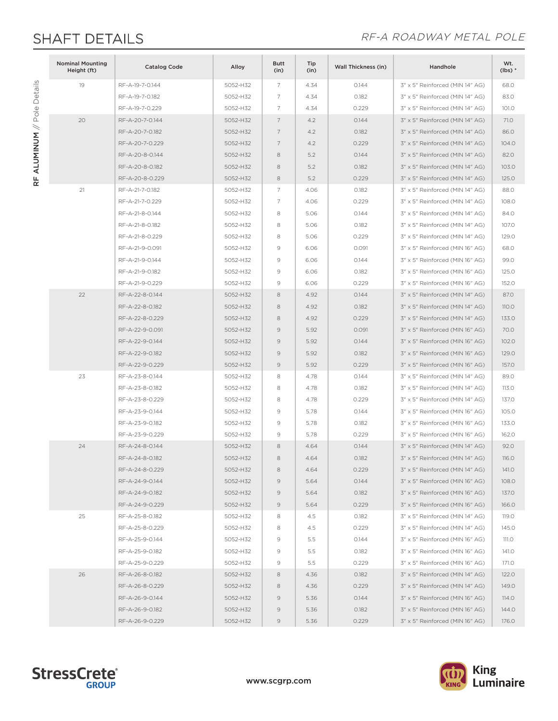RF ALUMINUM // Pole Details

RF ALUMINUM // Pole Details

## SHAFT DETAILS **EXECUTE:** The RE-A ROADWAY METAL POLE

| <b>Nominal Mounting</b><br>Height (ft) | <b>Catalog Code</b> | Alloy    | <b>Butt</b><br>(in) | Tip<br>(in) | <b>Wall Thickness (in)</b> | Handhole                        | Wt.<br>$(lbs)*$ |
|----------------------------------------|---------------------|----------|---------------------|-------------|----------------------------|---------------------------------|-----------------|
| 19                                     | RF-A-19-7-0.144     | 5052-H32 | 7                   | 4.34        | 0.144                      | 3" x 5" Reinforced (MIN 14" AG) | 68.0            |
|                                        | RF-A-19-7-0.182     | 5052-H32 | 7                   | 4.34        | 0.182                      | 3" x 5" Reinforced (MIN 14" AG) | 83.0            |
|                                        | RF-A-19-7-0.229     | 5052-H32 | 7                   | 4.34        | 0.229                      | 3" x 5" Reinforced (MIN 14" AG) | 101.0           |
| 20                                     | RF-A-20-7-0.144     | 5052-H32 | 7                   | 4.2         | 0.144                      | 3" x 5" Reinforced (MIN 14" AG) | 71.O            |
|                                        | RF-A-20-7-0.182     | 5052-H32 | 7                   | 4.2         | 0.182                      | 3" x 5" Reinforced (MIN 14" AG) | 86.0            |
|                                        | RF-A-20-7-0.229     | 5052-H32 | 7                   | 4.2         | 0.229                      | 3" x 5" Reinforced (MIN 14" AG) | 104.0           |
|                                        | RF-A-20-8-0.144     | 5052-H32 | 8                   | 5.2         | 0.144                      | 3" x 5" Reinforced (MIN 14" AG) | 82.0            |
|                                        | RF-A-20-8-0.182     | 5052-H32 | 8                   | 5.2         | 0.182                      | 3" x 5" Reinforced (MIN 14" AG) | 103.0           |
|                                        | RF-A-20-8-0.229     | 5052-H32 | 8                   | 5.2         | 0.229                      | 3" x 5" Reinforced (MIN 14" AG) | 125.0           |
| 21                                     | RF-A-21-7-0.182     | 5052-H32 | 7                   | 4.06        | 0.182                      | 3" x 5" Reinforced (MIN 14" AG) | 88.0            |
|                                        | RF-A-21-7-0.229     | 5052-H32 | $\overline{7}$      | 4.06        | 0.229                      | 3" x 5" Reinforced (MIN 14" AG) | 108.0           |
|                                        | RF-A-21-8-0.144     | 5052-H32 | 8                   | 5.06        | 0.144                      | 3" x 5" Reinforced (MIN 14" AG) | 84.0            |
|                                        | RF-A-21-8-0.182     | 5052-H32 | 8                   | 5.06        | 0.182                      | 3" x 5" Reinforced (MIN 14" AG) | 107.0           |
|                                        | RF-A-21-8-0.229     | 5052-H32 | 8                   | 5.06        | 0.229                      | 3" x 5" Reinforced (MIN 14" AG) | 129.0           |
|                                        | RF-A-21-9-0.091     | 5052-H32 | 9                   | 6.06        | 0.091                      | 3" x 5" Reinforced (MIN 16" AG) | 68.0            |
|                                        | RF-A-21-9-0.144     | 5052-H32 | 9                   | 6.06        | 0.144                      | 3" x 5" Reinforced (MIN 16" AG) | 99.0            |
|                                        | RF-A-21-9-0.182     | 5052-H32 | 9                   | 6.06        | 0.182                      | 3" x 5" Reinforced (MIN 16" AG) | 125.0           |
|                                        | RF-A-21-9-0.229     | 5052-H32 | $\mathcal{G}$       | 6.06        | 0.229                      | 3" x 5" Reinforced (MIN 16" AG) | 152.0           |
| 22                                     | RF-A-22-8-0.144     | 5052-H32 | 8                   | 4.92        | 0.144                      | 3" x 5" Reinforced (MIN 14" AG) | 87.0            |
|                                        | RF-A-22-8-0.182     | 5052-H32 | 8                   | 4.92        | 0.182                      | 3" x 5" Reinforced (MIN 14" AG) | 110.0           |
|                                        | RF-A-22-8-0.229     | 5052-H32 | 8                   | 4.92        | 0.229                      | 3" x 5" Reinforced (MIN 14" AG) | 133.0           |
|                                        | RF-A-22-9-0.091     | 5052-H32 | $\mathcal{Q}$       | 5.92        | 0.091                      | 3" x 5" Reinforced (MIN 16" AG) | 70.0            |
|                                        | RF-A-22-9-0.144     | 5052-H32 | $\mathcal{G}$       | 5.92        | 0.144                      | 3" x 5" Reinforced (MIN 16" AG) | 102.0           |
|                                        | RF-A-22-9-0.182     | 5052-H32 | $\mathcal{G}$       | 5.92        | 0.182                      | 3" x 5" Reinforced (MIN 16" AG) | 129.0           |
|                                        | RF-A-22-9-0.229     | 5052-H32 | $\mathcal{Q}$       | 5.92        | 0.229                      | 3" x 5" Reinforced (MIN 16" AG) | 157.0           |
| 23                                     | RF-A-23-8-0.144     | 5052-H32 | 8                   | 4.78        | 0.144                      | 3" x 5" Reinforced (MIN 14" AG) | 89.0            |
|                                        | RF-A-23-8-0.182     | 5052-H32 | 8                   | 4.78        | 0.182                      | 3" x 5" Reinforced (MIN 14" AG) | 113.0           |
|                                        | RF-A-23-8-0.229     | 5052-H32 | 8                   | 4.78        | 0.229                      | 3" x 5" Reinforced (MIN 14" AG) | 137.0           |
|                                        | RF-A-23-9-0.144     | 5052-H32 | 9                   | 5.78        | 0.144                      | 3" x 5" Reinforced (MIN 16" AG) | 105.0           |
|                                        | RF-A-23-9-0.182     | 5052-H32 | $\mathcal{G}$       | 5.78        | 0.182                      | 3" x 5" Reinforced (MIN 16" AG) | 133.0           |
|                                        | RF-A-23-9-0.229     | 5052-H32 | $\mathcal{G}$       | 5.78        | 0.229                      | 3" x 5" Reinforced (MIN 16" AG) | 162.0           |
| 24                                     | RF-A-24-8-0.144     | 5052-H32 | 8                   | 4.64        | 0.144                      | 3" x 5" Reinforced (MIN 14" AG) | 92.0            |
|                                        | RF-A-24-8-0.182     | 5052-H32 | 8                   | 4.64        | 0.182                      | 3" x 5" Reinforced (MIN 14" AG) | 116.0           |
|                                        | RF-A-24-8-0.229     | 5052-H32 | 8                   | 4.64        | 0.229                      | 3" x 5" Reinforced (MIN 14" AG) | 141.O           |
|                                        | RF-A-24-9-0.144     | 5052-H32 | 9                   | 5.64        | 0.144                      | 3" x 5" Reinforced (MIN 16" AG) | 108.0           |
|                                        | RF-A-24-9-0.182     | 5052-H32 | $\circ$             | 5.64        | 0.182                      | 3" x 5" Reinforced (MIN 16" AG) | 137.0           |
|                                        | RF-A-24-9-0.229     | 5052-H32 | 9                   | 5.64        | 0.229                      | 3" x 5" Reinforced (MIN 16" AG) | 166.0           |
| 25                                     | RF-A-25-8-0.182     | 5052-H32 | 8                   | 4.5         | 0.182                      | 3" x 5" Reinforced (MIN 14" AG) | 119.0           |
|                                        | RF-A-25-8-0.229     | 5052-H32 | 8                   | 4.5         | 0.229                      | 3" x 5" Reinforced (MIN 14" AG) | 145.0           |
|                                        | RF-A-25-9-0.144     | 5052-H32 | 9                   | 5.5         | 0.144                      | 3" x 5" Reinforced (MIN 16" AG) | 111.O           |
|                                        | RF-A-25-9-0.182     | 5052-H32 | 9                   | 5.5         | 0.182                      | 3" x 5" Reinforced (MIN 16" AG) | 141.O           |
|                                        | RF-A-25-9-0.229     | 5052-H32 | 9                   | 5.5         | 0.229                      | 3" x 5" Reinforced (MIN 16" AG) | 171.O           |
| 26                                     | RF-A-26-8-0.182     | 5052-H32 | 8                   | 4.36        | 0.182                      | 3" x 5" Reinforced (MIN 14" AG) | 122.0           |
|                                        | RF-A-26-8-0.229     | 5052-H32 | 8                   | 4.36        | 0.229                      | 3" x 5" Reinforced (MIN 14" AG) | 149.0           |
|                                        | RF-A-26-9-0.144     | 5052-H32 | 9                   | 5.36        | 0.144                      | 3" x 5" Reinforced (MIN 16" AG) | <b>114.0</b>    |
|                                        | RF-A-26-9-0.182     | 5052-H32 | $\mathcal{G}$       | 5.36        | 0.182                      | 3" x 5" Reinforced (MIN 16" AG) | 144.0           |
|                                        | RF-A-26-9-0.229     | 5052-H32 | $\circ$             | 5.36        | 0.229                      | 3" x 5" Reinforced (MIN 16" AG) | 176.0           |



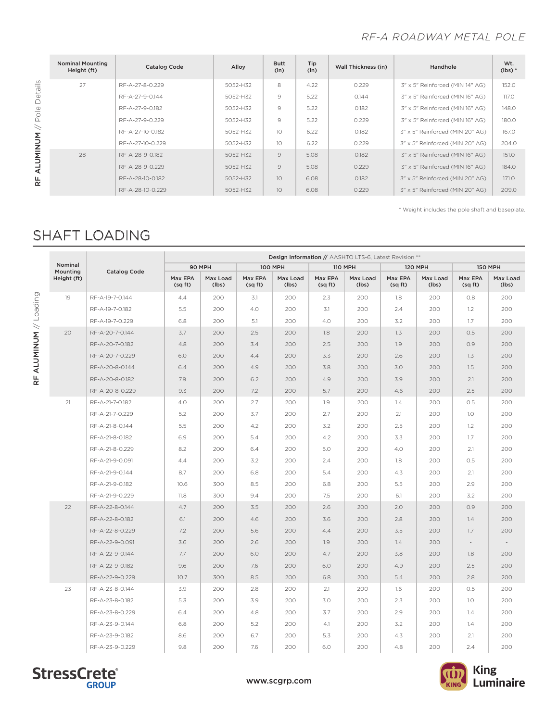### RF-A ROADWAY METAL POLE

| <b>Nominal Mounting</b><br>Height (ft) | <b>Catalog Code</b> | Alloy    | <b>Butt</b><br>(in) | Tip<br>(in) | Wall Thickness (in) | Handhole                        | Wt.<br>$(lbs)*$ |
|----------------------------------------|---------------------|----------|---------------------|-------------|---------------------|---------------------------------|-----------------|
| 27                                     | RF-A-27-8-0.229     | 5052-H32 | 8                   | 4.22        | 0.229               | 3" x 5" Reinforced (MIN 14" AG) | 152.0           |
|                                        | RF-A-27-9-0.144     | 5052-H32 | 9                   | 5.22        | 0.144               | 3" x 5" Reinforced (MIN 16" AG) | 117.0           |
|                                        | RF-A-27-9-0.182     | 5052-H32 | 9                   | 5.22        | 0.182               | 3" x 5" Reinforced (MIN 16" AG) | 148.0           |
|                                        | RF-A-27-9-0.229     | 5052-H32 | 9                   | 5.22        | 0.229               | 3" x 5" Reinforced (MIN 16" AG) | 180.0           |
|                                        | RF-A-27-10-0.182    | 5052-H32 | 10 <sup>2</sup>     | 6.22        | 0.182               | 3" x 5" Reinforced (MIN 20" AG) | 167.0           |
|                                        | RF-A-27-10-0.229    | 5052-H32 | 10 <sup>2</sup>     | 6.22        | 0.229               | 3" x 5" Reinforced (MIN 20" AG) | 204.0           |
| 28                                     | RF-A-28-9-0.182     | 5052-H32 | 9                   | 5.08        | 0.182               | 3" x 5" Reinforced (MIN 16" AG) | 151.0           |
|                                        | RF-A-28-9-0.229     | 5052-H32 | $\mathcal{Q}$       | 5.08        | 0.229               | 3" x 5" Reinforced (MIN 16" AG) | 184.0           |
|                                        | RF-A-28-10-0.182    | 5052-H32 | 10 <sup>1</sup>     | 6.08        | 0.182               | 3" x 5" Reinforced (MIN 20" AG) | 171.0           |
|                                        | RF-A-28-10-0.229    | 5052-H32 | 10                  | 6.08        | 0.229               | 3" x 5" Reinforced (MIN 20" AG) | 209.0           |

\* Weight includes the pole shaft and baseplate.

## SHAFT LOADING

|                     |                     | Design Information // AASHTO LTS-6, Latest Revision ** |                   |                    |                   |                    |                   |                    |                   |                          |                          |
|---------------------|---------------------|--------------------------------------------------------|-------------------|--------------------|-------------------|--------------------|-------------------|--------------------|-------------------|--------------------------|--------------------------|
| Nominal<br>Mounting | <b>Catalog Code</b> |                                                        | 90 MPH            |                    | <b>100 MPH</b>    |                    | <b>110 MPH</b>    | <b>120 MPH</b>     |                   | <b>150 MPH</b>           |                          |
| Height (ft)         |                     | Max EPA<br>(sqft)                                      | Max Load<br>(lbs) | Max EPA<br>(sq ft) | Max Load<br>(lbs) | Max EPA<br>(sq ft) | Max Load<br>(lbs) | Max EPA<br>(sq ft) | Max Load<br>(lbs) | Max EPA<br>(sqft)        | Max Load<br>(lbs)        |
| 19                  | RF-A-19-7-0.144     | 4.4                                                    | 200               | 3.1                | 200               | 2.3                | 200               | 1.8                | 200               | 0.8                      | 200                      |
|                     | RF-A-19-7-0.182     | 5.5                                                    | 200               | 4.0                | 200               | 3.1                | 200               | 2.4                | 200               | 1.2                      | 200                      |
|                     | RF-A-19-7-0.229     | 6.8                                                    | 200               | 5.1                | 200               | 4.0                | 200               | 3.2                | 200               | 1.7                      | 200                      |
| 20                  | RF-A-20-7-0.144     | 3.7                                                    | 200               | 2.5                | 200               | 1.8                | 200               | 1.3                | 200               | 0.5                      | 200                      |
|                     | RF-A-20-7-0.182     | 4.8                                                    | 200               | 3.4                | 200               | 2.5                | 200               | 1.9                | 200               | 0.9                      | 200                      |
|                     | RF-A-20-7-0.229     | 6.0                                                    | 200               | 4.4                | 200               | 3.3                | 200               | 2.6                | 200               | 1.3                      | 200                      |
|                     | RF-A-20-8-0.144     | 6.4                                                    | 200               | 4.9                | 200               | 3.8                | 200               | 3.0                | 200               | 1.5                      | 200                      |
|                     | RF-A-20-8-0.182     | 7.9                                                    | 200               | 6.2                | 200               | 4.9                | 200               | 3.9                | 200               | 2.1                      | 200                      |
|                     | RF-A-20-8-0.229     | 9.3                                                    | 200               | 7.2                | 200               | 5.7                | 200               | 4.6                | 200               | 2.5                      | 200                      |
| 21                  | RF-A-21-7-0.182     | 4.0                                                    | 200               | 2.7                | 200               | 1.9                | 200               | 1.4                | 200               | 0.5                      | 200                      |
|                     | RF-A-21-7-0.229     | 5.2                                                    | 200               | 3.7                | 200               | 2.7                | 200               | 2.1                | 200               | 1.0                      | 200                      |
|                     | RF-A-21-8-0.144     | 5.5                                                    | 200               | 4.2                | 200               | 3.2                | 200               | 2.5                | 200               | 1.2                      | 200                      |
|                     | RF-A-21-8-0.182     | 6.9                                                    | 200               | 5.4                | 200               | 4.2                | 200               | 3.3                | 200               | 1.7                      | 200                      |
|                     | RF-A-21-8-0.229     | 8.2                                                    | 200               | 6.4                | 200               | 5.0                | 200               | 4.0                | 200               | 2.1                      | 200                      |
|                     | RF-A-21-9-0.091     | 4.4                                                    | 200               | 3.2                | 200               | 2.4                | 200               | 1.8                | 200               | 0.5                      | 200                      |
|                     | RF-A-21-9-0.144     | 8.7                                                    | 200               | 6.8                | 200               | 5.4                | 200               | 4.3                | 200               | 2.1                      | 200                      |
|                     | RF-A-21-9-0.182     | 10.6                                                   | 300               | 8.5                | 200               | 6.8                | 200               | 5.5                | 200               | 2.9                      | 200                      |
|                     | RF-A-21-9-0.229     | 11.8                                                   | 300               | 9.4                | 200               | 7.5                | 200               | 6.1                | 200               | 3.2                      | 200                      |
| 22                  | RF-A-22-8-0.144     | 4.7                                                    | 200               | 3.5                | 200               | 2.6                | 200               | 2.0                | 200               | O.9                      | 200                      |
|                     | RF-A-22-8-0.182     | 6.1                                                    | 200               | 4.6                | 200               | 3.6                | 200               | 2.8                | 200               | 1.4                      | 200                      |
|                     | RF-A-22-8-0.229     | 7.2                                                    | 200               | 5.6                | 200               | 4.4                | 200               | 3.5                | 200               | 1.7                      | 200                      |
|                     | RF-A-22-9-0.091     | 3.6                                                    | 200               | 2.6                | 200               | 1.9                | 200               | 1.4                | 200               | $\overline{\phantom{a}}$ | $\overline{\phantom{a}}$ |
|                     | RF-A-22-9-0.144     | 7.7                                                    | 200               | 6.0                | 200               | 4.7                | 200               | 3.8                | 200               | 1.8                      | 200                      |
|                     | RF-A-22-9-0.182     | 9.6                                                    | 200               | 7.6                | 200               | 6.0                | 200               | 4.9                | 200               | 2.5                      | 200                      |
|                     | RF-A-22-9-0.229     | 10.7                                                   | 300               | 8.5                | 200               | 6.8                | 200               | 5.4                | 200               | 2.8                      | 200                      |
| 23                  | RF-A-23-8-0.144     | 3.9                                                    | 200               | 2.8                | 200               | 2.1                | 200               | 1.6                | 200               | 0.5                      | 200                      |
|                     | RF-A-23-8-0.182     | 5.3                                                    | 200               | 3.9                | 200               | 3.0                | 200               | 2.3                | 200               | 1.0                      | 200                      |
|                     | RF-A-23-8-0.229     | 6.4                                                    | 200               | 4.8                | 200               | 3.7                | 200               | 2.9                | 200               | 1.4                      | 200                      |
|                     | RF-A-23-9-0.144     | 6.8                                                    | 200               | 5.2                | 200               | 4.1                | 200               | 3.2                | 200               | 1.4                      | 200                      |
|                     | RF-A-23-9-0.182     | 8.6                                                    | 200               | 6.7                | 200               | 5.3                | 200               | 4.3                | 200               | 2.1                      | 200                      |
|                     | RF-A-23-9-0.229     | 9.8                                                    | 200               | 7.6                | 200               | 6.0                | 200               | 4.8                | 200               | 2.4                      | 200                      |





RF ALUMINUM // Pole Details RF ALUMINUM // Pole Details